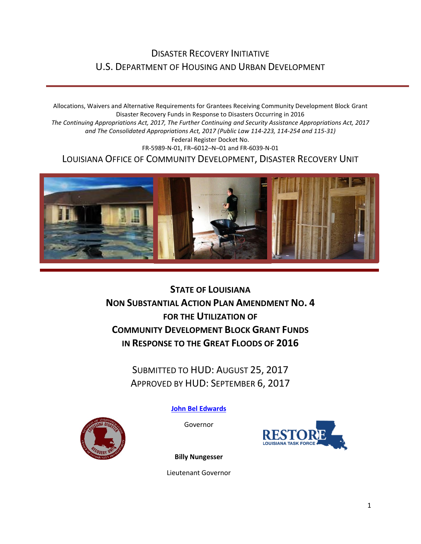### DISASTER RECOVERY INITIATIVE U.S. DEPARTMENT OF HOUSING AND URBAN DEVELOPMENT

Allocations, Waivers and Alternative Requirements for Grantees Receiving Community Development Block Grant Disaster Recovery Funds in Response to Disasters Occurring in 2016 *The Continuing Appropriations Act, 2017, The Further Continuing and Security Assistance Appropriations Act, 2017 and The Consolidated Appropriations Act, 2017 (Public Law 114-223, 114-254 and 115-31)* Federal Register Docket No. FR-5989-N-01, FR–6012–N–01 and FR-6039-N-01 LOUISIANA OFFICE OF COMMUNITY DEVELOPMENT, DISASTER RECOVERY UNIT



**STATE OF LOUISIANA NON SUBSTANTIAL ACTION PLAN AMENDMENT NO. 4 FOR THE UTILIZATION OF COMMUNITY DEVELOPMENT BLOCK GRANT FUNDS IN RESPONSE TO THE GREAT FLOODS OF 2016**

> SUBMITTED TO HUD: AUGUST 25, 2017 APPROVED BY HUD: SEPTEMBER 6, 2017

> > **[John Bel Edwards](https://www.facebook.com/LouisianaGov/)**

Governor





**Billy Nungesser**

Lieutenant Governor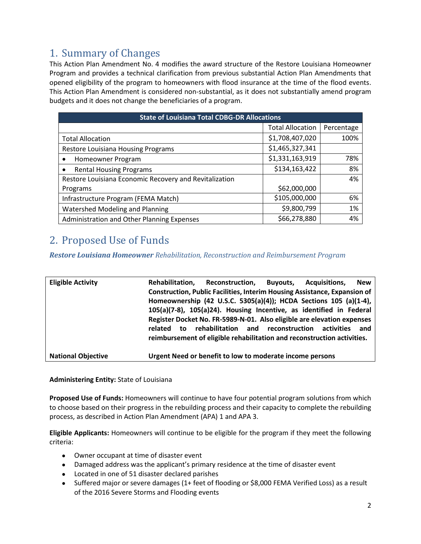## 1. Summary of Changes

This Action Plan Amendment No. 4 modifies the award structure of the Restore Louisiana Homeowner Program and provides a technical clarification from previous substantial Action Plan Amendments that opened eligibility of the program to homeowners with flood insurance at the time of the flood events. This Action Plan Amendment is considered non-substantial, as it does not substantially amend program budgets and it does not change the beneficiaries of a program.

| <b>State of Louisiana Total CDBG-DR Allocations</b>    |                         |            |  |  |  |  |  |
|--------------------------------------------------------|-------------------------|------------|--|--|--|--|--|
|                                                        | <b>Total Allocation</b> | Percentage |  |  |  |  |  |
| <b>Total Allocation</b>                                | \$1,708,407,020         | 100%       |  |  |  |  |  |
| Restore Louisiana Housing Programs                     | \$1,465,327,341         |            |  |  |  |  |  |
| Homeowner Program<br>$\bullet$                         | \$1,331,163,919         | 78%        |  |  |  |  |  |
| <b>Rental Housing Programs</b>                         | \$134,163,422           | 8%         |  |  |  |  |  |
| Restore Louisiana Economic Recovery and Revitalization |                         | 4%         |  |  |  |  |  |
| Programs                                               | \$62,000,000            |            |  |  |  |  |  |
| Infrastructure Program (FEMA Match)                    | \$105,000,000           | 6%         |  |  |  |  |  |
| Watershed Modeling and Planning                        | \$9,800,799             | 1%         |  |  |  |  |  |
| Administration and Other Planning Expenses             | \$66,278,880            | 4%         |  |  |  |  |  |

# 2. Proposed Use of Funds

*Restore Louisiana Homeowner Rehabilitation, Reconstruction and Reimbursement Program*

| <b>Eligible Activity</b>  | Rehabilitation,                                                         | Reconstruction, Buyouts,                                                         |  | Acquisitions. | <b>New</b> |
|---------------------------|-------------------------------------------------------------------------|----------------------------------------------------------------------------------|--|---------------|------------|
|                           |                                                                         | <b>Construction, Public Facilities, Interim Housing Assistance, Expansion of</b> |  |               |            |
|                           |                                                                         | Homeownership (42 U.S.C. 5305(a)(4)); HCDA Sections 105 (a)(1-4),                |  |               |            |
|                           | 105(a)(7-8), 105(a)24). Housing Incentive, as identified in Federal     |                                                                                  |  |               |            |
|                           |                                                                         | Register Docket No. FR-5989-N-01. Also eligible are elevation expenses           |  |               |            |
|                           | to<br>related                                                           | rehabilitation and reconstruction                                                |  | activities    | and        |
|                           | reimbursement of eligible rehabilitation and reconstruction activities. |                                                                                  |  |               |            |
|                           |                                                                         |                                                                                  |  |               |            |
| <b>National Objective</b> |                                                                         | Urgent Need or benefit to low to moderate income persons                         |  |               |            |

**Administering Entity:** State of Louisiana

**Proposed Use of Funds:** Homeowners will continue to have four potential program solutions from which to choose based on their progress in the rebuilding process and their capacity to complete the rebuilding process, as described in Action Plan Amendment (APA) 1 and APA 3.

**Eligible Applicants:** Homeowners will continue to be eligible for the program if they meet the following criteria:

- Owner occupant at time of disaster event
- Damaged address was the applicant's primary residence at the time of disaster event
- Located in one of 51 disaster declared parishes
- Suffered major or severe damages (1+ feet of flooding or \$8,000 FEMA Verified Loss) as a result of the 2016 Severe Storms and Flooding events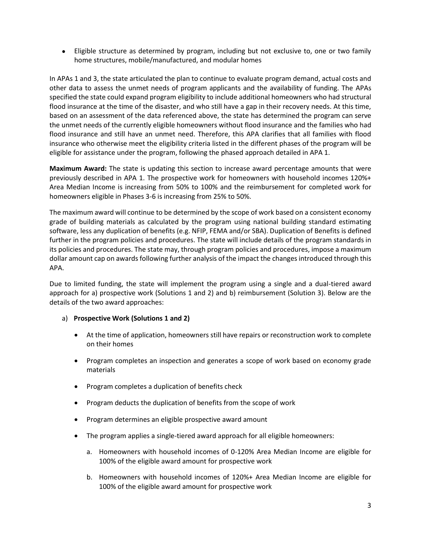Eligible structure as determined by program, including but not exclusive to, one or two family home structures, mobile/manufactured, and modular homes

In APAs 1 and 3, the state articulated the plan to continue to evaluate program demand, actual costs and other data to assess the unmet needs of program applicants and the availability of funding. The APAs specified the state could expand program eligibility to include additional homeowners who had structural flood insurance at the time of the disaster, and who still have a gap in their recovery needs. At this time, based on an assessment of the data referenced above, the state has determined the program can serve the unmet needs of the currently eligible homeowners without flood insurance and the families who had flood insurance and still have an unmet need. Therefore, this APA clarifies that all families with flood insurance who otherwise meet the eligibility criteria listed in the different phases of the program will be eligible for assistance under the program, following the phased approach detailed in APA 1.

**Maximum Award:** The state is updating this section to increase award percentage amounts that were previously described in APA 1. The prospective work for homeowners with household incomes 120%+ Area Median Income is increasing from 50% to 100% and the reimbursement for completed work for homeowners eligible in Phases 3-6 is increasing from 25% to 50%.

The maximum award will continue to be determined by the scope of work based on a consistent economy grade of building materials as calculated by the program using national building standard estimating software, less any duplication of benefits (e.g. NFIP, FEMA and/or SBA). Duplication of Benefits is defined further in the program policies and procedures. The state will include details of the program standards in its policies and procedures. The state may, through program policies and procedures, impose a maximum dollar amount cap on awards following further analysis of the impact the changes introduced through this APA.

Due to limited funding, the state will implement the program using a single and a dual-tiered award approach for a) prospective work (Solutions 1 and 2) and b) reimbursement (Solution 3). Below are the details of the two award approaches:

#### a) **Prospective Work (Solutions 1 and 2)**

- At the time of application, homeowners still have repairs or reconstruction work to complete on their homes
- Program completes an inspection and generates a scope of work based on economy grade materials
- Program completes a duplication of benefits check
- Program deducts the duplication of benefits from the scope of work
- Program determines an eligible prospective award amount
- The program applies a single-tiered award approach for all eligible homeowners:
	- a. Homeowners with household incomes of 0-120% Area Median Income are eligible for 100% of the eligible award amount for prospective work
	- b. Homeowners with household incomes of 120%+ Area Median Income are eligible for 100% of the eligible award amount for prospective work